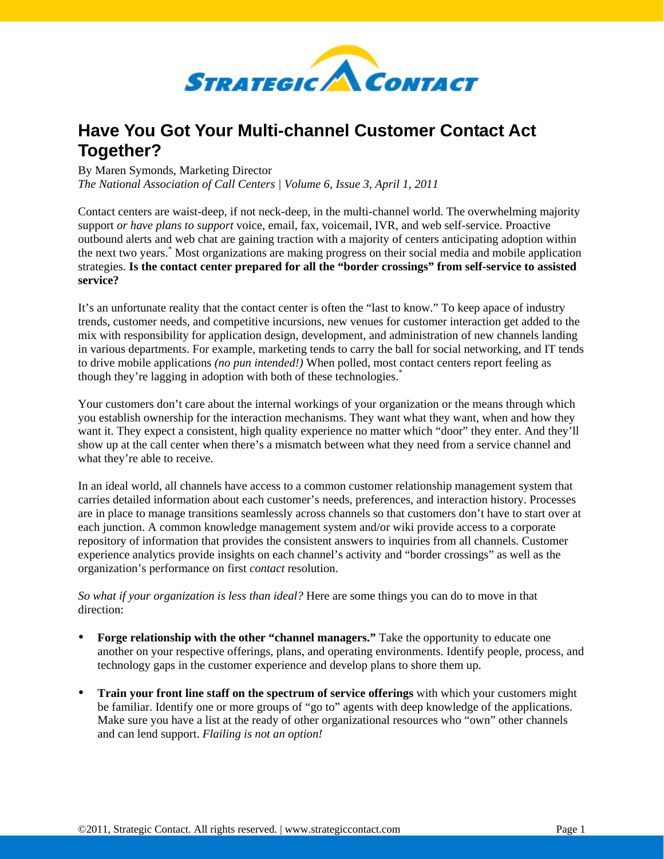

## **Have You Got Your Multi-channel Customer Contact Act Together?**

By Maren Symonds, Marketing Director

*The National Association of Call Centers | Volume 6, Issue 3, April 1, 2011* 

Contact centers are waist-deep, if not neck-deep, in the multi-channel world. The overwhelming majority support *or have plans to support* voice, email, fax, voicemail, IVR, and web self-service. Proactive outbound alerts and web chat are gaining traction with a majority of centers anticipating adoption within the next two years.\* Most organizations are making progress on their social media and mobile application strategies. **Is the contact center prepared for all the "border crossings" from self-service to assisted service?**

It's an unfortunate reality that the contact center is often the "last to know." To keep apace of industry trends, customer needs, and competitive incursions, new venues for customer interaction get added to the mix with responsibility for application design, development, and administration of new channels landing in various departments. For example, marketing tends to carry the ball for social networking, and IT tends to drive mobile applications *(no pun intended!)* When polled, most contact centers report feeling as though they're lagging in adoption with both of these technologies.\*

Your customers don't care about the internal workings of your organization or the means through which you establish ownership for the interaction mechanisms. They want what they want, when and how they want it. They expect a consistent, high quality experience no matter which "door" they enter. And they'll show up at the call center when there's a mismatch between what they need from a service channel and what they're able to receive.

In an ideal world, all channels have access to a common customer relationship management system that carries detailed information about each customer's needs, preferences, and interaction history. Processes are in place to manage transitions seamlessly across channels so that customers don't have to start over at each junction. A common knowledge management system and/or wiki provide access to a corporate repository of information that provides the consistent answers to inquiries from all channels. Customer experience analytics provide insights on each channel's activity and "border crossings" as well as the organization's performance on first *contact* resolution.

*So what if your organization is less than ideal?* Here are some things you can do to move in that direction:

- **Forge relationship with the other "channel managers."** Take the opportunity to educate one another on your respective offerings, plans, and operating environments. Identify people, process, and technology gaps in the customer experience and develop plans to shore them up.
- **Train your front line staff on the spectrum of service offerings** with which your customers might be familiar. Identify one or more groups of "go to" agents with deep knowledge of the applications. Make sure you have a list at the ready of other organizational resources who "own" other channels and can lend support. *Flailing is not an option!*